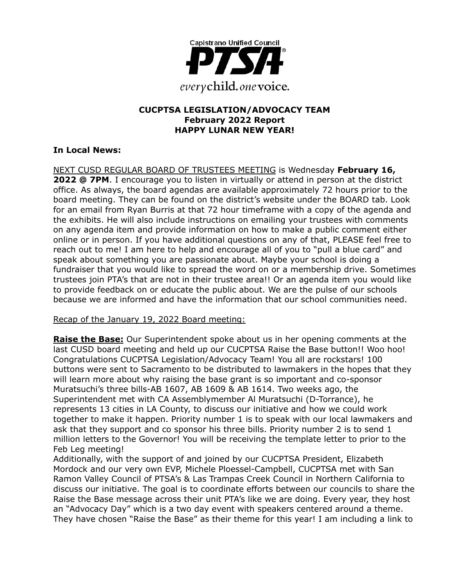

### **CUCPTSA LEGISLATION/ADVOCACY TEAM February 2022 Report HAPPY LUNAR NEW YEAR!**

## **In Local News:**

NEXT CUSD REGULAR BOARD OF TRUSTEES MEETING is Wednesday **February 16, 2022 @ 7PM**. I encourage you to listen in virtually or attend in person at the district office. As always, the board agendas are available approximately 72 hours prior to the board meeting. They can be found on the district's website under the BOARD tab. Look for an email from Ryan Burris at that 72 hour timeframe with a copy of the agenda and the exhibits. He will also include instructions on emailing your trustees with comments on any agenda item and provide information on how to make a public comment either online or in person. If you have additional questions on any of that, PLEASE feel free to reach out to me! I am here to help and encourage all of you to "pull a blue card" and speak about something you are passionate about. Maybe your school is doing a fundraiser that you would like to spread the word on or a membership drive. Sometimes trustees join PTA's that are not in their trustee area!! Or an agenda item you would like to provide feedback on or educate the public about. We are the pulse of our schools because we are informed and have the information that our school communities need.

Recap of the January 19, 2022 Board meeting:

**Raise the Base:** Our Superintendent spoke about us in her opening comments at the last CUSD board meeting and held up our CUCPTSA Raise the Base button!! Woo hoo! Congratulations CUCPTSA Legislation/Advocacy Team! You all are rockstars! 100 buttons were sent to Sacramento to be distributed to lawmakers in the hopes that they will learn more about why raising the base grant is so important and co-sponsor Muratsuchi's three bills-AB 1607, AB 1609 & AB 1614. Two weeks ago, the Superintendent met with CA Assemblymember Al Muratsuchi (D-Torrance), he represents 13 cities in LA County, to discuss our initiative and how we could work together to make it happen. Priority number 1 is to speak with our local lawmakers and ask that they support and co sponsor his three bills. Priority number 2 is to send 1 million letters to the Governor! You will be receiving the template letter to prior to the Feb Leg meeting!

Additionally, with the support of and joined by our CUCPTSA President, Elizabeth Mordock and our very own EVP, Michele Ploessel-Campbell, CUCPTSA met with San Ramon Valley Council of PTSA's & Las Trampas Creek Council in Northern California to discuss our initiative. The goal is to coordinate efforts between our councils to share the Raise the Base message across their unit PTA's like we are doing. Every year, they host an "Advocacy Day" which is a two day event with speakers centered around a theme. They have chosen "Raise the Base" as their theme for this year! I am including a link to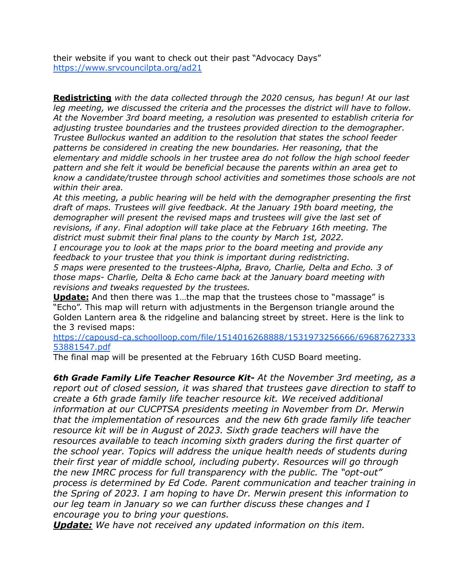their website if you want to check out their past "Advocacy Days" <https://www.srvcouncilpta.org/ad21>

**Redistricting** *with the data collected through the 2020 census, has begun! At our last leg meeting, we discussed the criteria and the processes the district will have to follow. At the November 3rd board meeting, a resolution was presented to establish criteria for adjusting trustee boundaries and the trustees provided direction to the demographer. Trustee Bullockus wanted an addition to the resolution that states the school feeder patterns be considered in creating the new boundaries. Her reasoning, that the elementary and middle schools in her trustee area do not follow the high school feeder pattern and she felt it would be beneficial because the parents within an area get to know a candidate/trustee through school activities and sometimes those schools are not within their area.*

*At this meeting, a public hearing will be held with the demographer presenting the first draft of maps. Trustees will give feedback. At the January 19th board meeting, the demographer will present the revised maps and trustees will give the last set of revisions, if any. Final adoption will take place at the February 16th meeting. The district must submit their final plans to the county by March 1st, 2022.*

*I encourage you to look at the maps prior to the board meeting and provide any feedback to your trustee that you think is important during redistricting.*

*5 maps were presented to the trustees-Alpha, Bravo, Charlie, Delta and Echo. 3 of those maps- Charlie, Delta & Echo came back at the January board meeting with revisions and tweaks requested by the trustees.*

**Update:** And then there was 1...the map that the trustees chose to "massage" is "Echo". This map will return with adjustments in the Bergenson triangle around the Golden Lantern area & the ridgeline and balancing street by street. Here is the link to the 3 revised maps:

[https://capousd-ca.schoolloop.com/file/1514016268888/1531973256666/69687627333](https://capousd-ca.schoolloop.com/file/1514016268888/1531973256666/6968762733353881547.pdf) [53881547.pdf](https://capousd-ca.schoolloop.com/file/1514016268888/1531973256666/6968762733353881547.pdf)

The final map will be presented at the February 16th CUSD Board meeting.

*6th Grade Family Life Teacher Resource Kit- At the November 3rd meeting, as a report out of closed session, it was shared that trustees gave direction to staff to create a 6th grade family life teacher resource kit. We received additional information at our CUCPTSA presidents meeting in November from Dr. Merwin that the implementation of resources and the new 6th grade family life teacher resource kit will be in August of 2023. Sixth grade teachers will have the resources available to teach incoming sixth graders during the first quarter of the school year. Topics will address the unique health needs of students during their first year of middle school, including puberty. Resources will go through the new IMRC process for full transparency with the public. The "opt-out" process is determined by Ed Code. Parent communication and teacher training in the Spring of 2023. I am hoping to have Dr. Merwin present this information to our leg team in January so we can further discuss these changes and I encourage you to bring your questions.*

*Update: We have not received any updated information on this item.*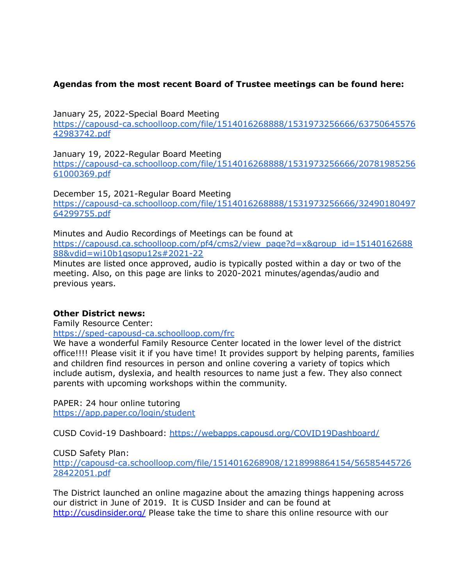### **Agendas from the most recent Board of Trustee meetings can be found here:**

January 25, 2022-Special Board Meeting [https://capousd-ca.schoolloop.com/file/1514016268888/1531973256666/63750645576](https://capousd-ca.schoolloop.com/file/1514016268888/1531973256666/6375064557642983742.pdf) [42983742.pdf](https://capousd-ca.schoolloop.com/file/1514016268888/1531973256666/6375064557642983742.pdf)

January 19, 2022-Regular Board Meeting [https://capousd-ca.schoolloop.com/file/1514016268888/1531973256666/20781985256](https://capousd-ca.schoolloop.com/file/1514016268888/1531973256666/2078198525661000369.pdf) [61000369.pdf](https://capousd-ca.schoolloop.com/file/1514016268888/1531973256666/2078198525661000369.pdf)

December 15, 2021-Regular Board Meeting [https://capousd-ca.schoolloop.com/file/1514016268888/1531973256666/32490180497](https://capousd-ca.schoolloop.com/file/1514016268888/1531973256666/3249018049764299755.pdf) [64299755.pdf](https://capousd-ca.schoolloop.com/file/1514016268888/1531973256666/3249018049764299755.pdf)

Minutes and Audio Recordings of Meetings can be found at [https://capousd.ca.schoolloop.com/pf4/cms2/view\\_page?d=x&group\\_id=15140162688](https://capousd.ca.schoolloop.com/pf4/cms2/view_page?d=x&group_id=1514016268888&vdid=wi10b1qsopu12s#2021-22) [88&vdid=wi10b1qsopu12s#2021-22](https://capousd.ca.schoolloop.com/pf4/cms2/view_page?d=x&group_id=1514016268888&vdid=wi10b1qsopu12s#2021-22)

Minutes are listed once approved, audio is typically posted within a day or two of the meeting. Also, on this page are links to 2020-2021 minutes/agendas/audio and previous years.

### **Other District news:**

Family Resource Center:

<https://sped-capousd-ca.schoolloop.com/frc>

We have a wonderful Family Resource Center located in the lower level of the district office!!!! Please visit it if you have time! It provides support by helping parents, families and children find resources in person and online covering a variety of topics which include autism, dyslexia, and health resources to name just a few. They also connect parents with upcoming workshops within the community.

PAPER: 24 hour online tutoring <https://app.paper.co/login/student>

CUSD Covid-19 Dashboard: <https://webapps.capousd.org/COVID19Dashboard/>

CUSD Safety Plan:

[http://capousd-ca.schoolloop.com/file/1514016268908/1218998864154/56585445726](http://capousd-ca.schoolloop.com/file/1514016268908/1218998864154/5658544572628422051.pdf) [28422051.pdf](http://capousd-ca.schoolloop.com/file/1514016268908/1218998864154/5658544572628422051.pdf)

The District launched an online magazine about the amazing things happening across our district in June of 2019. It is CUSD Insider and can be found at [http://cusdinsider.org/](http://cusdinsider.org/%20) Please take the time to share this online resource with our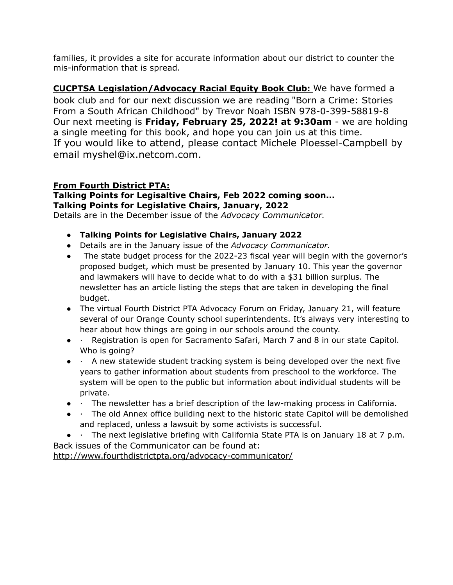families, it provides a site for accurate information about our district to counter the mis-information that is spread.

**CUCPTSA Legislation/Advocacy Racial Equity Book Club:** We have formed a book club and for our next discussion we are reading "Born a Crime: Stories From a South African Childhood" by Trevor Noah ISBN 978-0-399-58819-8 Our next meeting is **Friday, February 25, 2022! at 9:30am** - we are holding a single meeting for this book, and hope you can join us at this time. If you would like to attend, please contact Michele Ploessel-Campbell by email myshel@ix.netcom.com.

## **From Fourth District PTA:**

### **Talking Points for Legisaltive Chairs, Feb 2022 coming soon... Talking Points for Legislative Chairs, January, 2022**

Details are in the December issue of the *Advocacy Communicator.*

- **Talking Points for Legislative Chairs, January 2022**
- Details are in the January issue of the *Advocacy Communicator.*
- The state budget process for the 2022-23 fiscal year will begin with the governor's proposed budget, which must be presented by January 10. This year the governor and lawmakers will have to decide what to do with a \$31 billion surplus. The newsletter has an article listing the steps that are taken in developing the final budget.
- The virtual Fourth District PTA Advocacy Forum on Friday, January 21, will feature several of our Orange County school superintendents. It's always very interesting to hear about how things are going in our schools around the county.
- · Registration is open for Sacramento Safari, March 7 and 8 in our state Capitol. Who is going?
- · A new statewide student tracking system is being developed over the next five years to gather information about students from preschool to the workforce. The system will be open to the public but information about individual students will be private.
- · The newsletter has a brief description of the law-making process in California.
- · The old Annex office building next to the historic state Capitol will be demolished and replaced, unless a lawsuit by some activists is successful.
- · The next legislative briefing with California State PTA is on January 18 at 7 p.m.

Back issues of the Communicator can be found at: <http://www.fourthdistrictpta.org/advocacy-communicator/>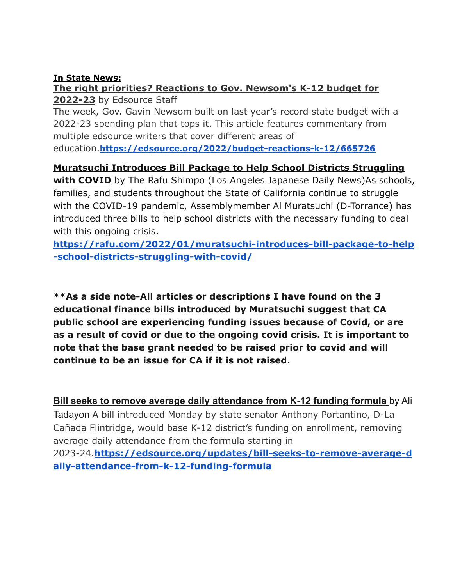## **In State News:**

# **The right priorities? Reactions to Gov. Newsom's K-12 budget for 2022-23** by Edsource Staff

The week, Gov. Gavin Newsom built on last year's record state budget with a 2022-23 spending plan that tops it. This article features commentary from multiple edsource writers that cover different areas of education.**<https://edsource.org/2022/budget-reactions-k-12/665726>**

# **Muratsuchi Introduces Bill Package to Help School Districts Struggling**

**with COVID** by The Rafu Shimpo (Los Angeles Japanese Daily News)As schools, families, and students throughout the State of California continue to struggle with the COVID-19 pandemic, Assemblymember Al Muratsuchi (D-Torrance) has introduced three bills to help school districts with the necessary funding to deal with this ongoing crisis.

**[https://rafu.com/2022/01/muratsuchi-introduces-bill-package-to-help](https://rafu.com/2022/01/muratsuchi-introduces-bill-package-to-help-school-districts-struggling-with-covid/) [-school-districts-struggling-with-covid/](https://rafu.com/2022/01/muratsuchi-introduces-bill-package-to-help-school-districts-struggling-with-covid/)**

**\*\*As a side note-All articles or descriptions I have found on the 3 educational finance bills introduced by Muratsuchi suggest that CA public school are experiencing funding issues because of Covid, or are as a result of covid or due to the ongoing covid crisis. It is important to note that the base grant needed to be raised prior to covid and will continue to be an issue for CA if it is not raised.**

**Bill seeks to remove average daily attendance from K-12 funding formula** by Ali Tadayon A bill introduced Monday by state senator Anthony Portantino, D-La Cañada Flintridge, would base K-12 district's funding on enrollment, removing average daily attendance from the formula starting in 2023-24.**[https://edsource.org/updates/bill-seeks-to-remove-average-d](https://edsource.org/updates/bill-seeks-to-remove-average-daily-attendance-from-k-12-funding-formula) [aily-attendance-from-k-12-funding-formula](https://edsource.org/updates/bill-seeks-to-remove-average-daily-attendance-from-k-12-funding-formula)**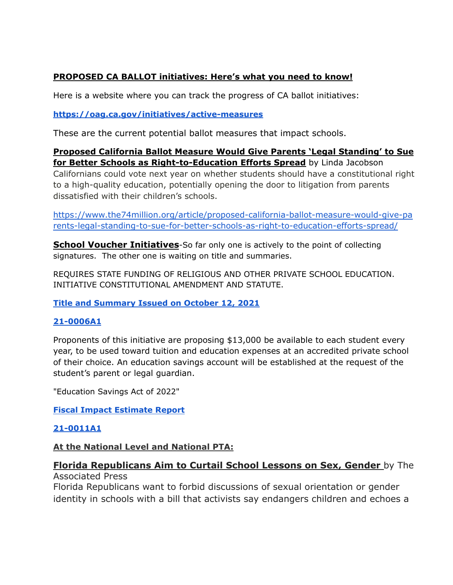## **PROPOSED CA BALLOT initiatives: Here's what you need to know!**

Here is a website where you can track the progress of CA ballot initiatives:

**<https://oag.ca.gov/initiatives/active-measures>**

dissatisfied with their children's schools.

These are the current potential ballot measures that impact schools.

**Proposed California Ballot Measure Would Give Parents 'Legal Standing' to Sue for Better Schools as Right-to-Education Efforts Spread** by Linda Jacobson Californians could vote next year on whether students should have a constitutional right to a high-quality education, potentially opening the door to litigation from parents

[https://www.the74million.org/article/proposed-california-ballot-measure-would-give-pa](https://www.the74million.org/article/proposed-california-ballot-measure-would-give-parents-legal-standing-to-sue-for-better-schools-as-right-to-education-efforts-spread/) [rents-legal-standing-to-sue-for-better-schools-as-right-to-education-efforts-spread/](https://www.the74million.org/article/proposed-california-ballot-measure-would-give-parents-legal-standing-to-sue-for-better-schools-as-right-to-education-efforts-spread/)

**School Voucher Initiatives**-So far only one is actively to the point of collecting signatures. The other one is waiting on title and summaries.

REQUIRES STATE FUNDING OF RELIGIOUS AND OTHER PRIVATE SCHOOL EDUCATION. INITIATIVE CONSTITUTIONAL AMENDMENT AND STATUTE.

**[Title and Summary Issued on October 12, 2021](https://oag.ca.gov/system/files/initiatives/pdfs/Title%20and%20Summary%20%2821-0006A1%29_0.pdf)**

## **[21-0006A1](https://oag.ca.gov/system/files/initiatives/pdfs/21-0006A1%20%28%26quot%3BEducational%20Freedom%20Act%26quot%3B%29.pdf)**

Proponents of this initiative are proposing \$13,000 be available to each student every year, to be used toward tuition and education expenses at an accredited private school of their choice. An education savings account will be established at the request of the student's parent or legal guardian.

"Education Savings Act of 2022"

**[Fiscal Impact Estimate Report](https://oag.ca.gov/system/files/initiatives/pdfs/fiscal-impact-estimate-report%2821-0011A1%29.pdf)**

## **[21-0011A1](https://oag.ca.gov/system/files/initiatives/pdfs/21-0011A1%20%28Education%20Savings%20Act%29.pdf)**

## **At the National Level and National PTA:**

### **Florida Republicans Aim to Curtail School Lessons on Sex, Gender** by The Associated Press

Florida Republicans want to forbid discussions of sexual orientation or gender identity in schools with a bill that activists say endangers children and echoes a